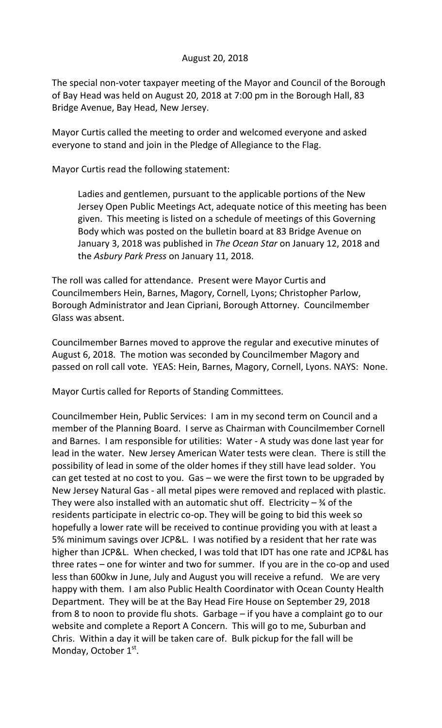## August 20, 2018

The special non-voter taxpayer meeting of the Mayor and Council of the Borough of Bay Head was held on August 20, 2018 at 7:00 pm in the Borough Hall, 83 Bridge Avenue, Bay Head, New Jersey.

Mayor Curtis called the meeting to order and welcomed everyone and asked everyone to stand and join in the Pledge of Allegiance to the Flag.

Mayor Curtis read the following statement:

Ladies and gentlemen, pursuant to the applicable portions of the New Jersey Open Public Meetings Act, adequate notice of this meeting has been given. This meeting is listed on a schedule of meetings of this Governing Body which was posted on the bulletin board at 83 Bridge Avenue on January 3, 2018 was published in *The Ocean Star* on January 12, 2018 and the *Asbury Park Press* on January 11, 2018.

The roll was called for attendance. Present were Mayor Curtis and Councilmembers Hein, Barnes, Magory, Cornell, Lyons; Christopher Parlow, Borough Administrator and Jean Cipriani, Borough Attorney. Councilmember Glass was absent.

Councilmember Barnes moved to approve the regular and executive minutes of August 6, 2018. The motion was seconded by Councilmember Magory and passed on roll call vote. YEAS: Hein, Barnes, Magory, Cornell, Lyons. NAYS: None.

Mayor Curtis called for Reports of Standing Committees.

Councilmember Hein, Public Services: I am in my second term on Council and a member of the Planning Board. I serve as Chairman with Councilmember Cornell and Barnes. I am responsible for utilities: Water - A study was done last year for lead in the water. New Jersey American Water tests were clean. There is still the possibility of lead in some of the older homes if they still have lead solder. You can get tested at no cost to you. Gas – we were the first town to be upgraded by New Jersey Natural Gas - all metal pipes were removed and replaced with plastic. They were also installed with an automatic shut off. Electricity  $-$  % of the residents participate in electric co-op. They will be going to bid this week so hopefully a lower rate will be received to continue providing you with at least a 5% minimum savings over JCP&L. I was notified by a resident that her rate was higher than JCP&L. When checked, I was told that IDT has one rate and JCP&L has three rates – one for winter and two for summer. If you are in the co-op and used less than 600kw in June, July and August you will receive a refund. We are very happy with them. I am also Public Health Coordinator with Ocean County Health Department. They will be at the Bay Head Fire House on September 29, 2018 from 8 to noon to provide flu shots. Garbage – if you have a complaint go to our website and complete a Report A Concern. This will go to me, Suburban and Chris. Within a day it will be taken care of. Bulk pickup for the fall will be Monday, October 1st.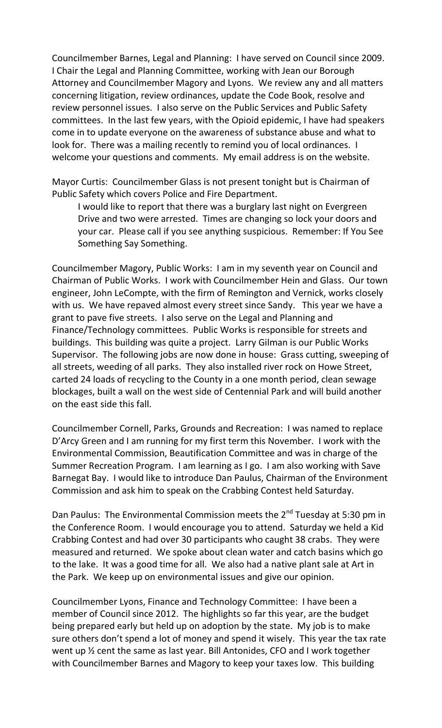Councilmember Barnes, Legal and Planning: I have served on Council since 2009. I Chair the Legal and Planning Committee, working with Jean our Borough Attorney and Councilmember Magory and Lyons. We review any and all matters concerning litigation, review ordinances, update the Code Book, resolve and review personnel issues. I also serve on the Public Services and Public Safety committees. In the last few years, with the Opioid epidemic, I have had speakers come in to update everyone on the awareness of substance abuse and what to look for. There was a mailing recently to remind you of local ordinances. I welcome your questions and comments. My email address is on the website.

Mayor Curtis: Councilmember Glass is not present tonight but is Chairman of Public Safety which covers Police and Fire Department.

I would like to report that there was a burglary last night on Evergreen Drive and two were arrested. Times are changing so lock your doors and your car. Please call if you see anything suspicious. Remember: If You See Something Say Something.

Councilmember Magory, Public Works: I am in my seventh year on Council and Chairman of Public Works. I work with Councilmember Hein and Glass. Our town engineer, John LeCompte, with the firm of Remington and Vernick, works closely with us. We have repaved almost every street since Sandy. This year we have a grant to pave five streets. I also serve on the Legal and Planning and Finance/Technology committees. Public Works is responsible for streets and buildings. This building was quite a project. Larry Gilman is our Public Works Supervisor. The following jobs are now done in house: Grass cutting, sweeping of all streets, weeding of all parks. They also installed river rock on Howe Street, carted 24 loads of recycling to the County in a one month period, clean sewage blockages, built a wall on the west side of Centennial Park and will build another on the east side this fall.

Councilmember Cornell, Parks, Grounds and Recreation: I was named to replace D'Arcy Green and I am running for my first term this November. I work with the Environmental Commission, Beautification Committee and was in charge of the Summer Recreation Program. I am learning as I go. I am also working with Save Barnegat Bay. I would like to introduce Dan Paulus, Chairman of the Environment Commission and ask him to speak on the Crabbing Contest held Saturday.

Dan Paulus: The Environmental Commission meets the 2<sup>nd</sup> Tuesday at 5:30 pm in the Conference Room. I would encourage you to attend. Saturday we held a Kid Crabbing Contest and had over 30 participants who caught 38 crabs. They were measured and returned. We spoke about clean water and catch basins which go to the lake. It was a good time for all. We also had a native plant sale at Art in the Park. We keep up on environmental issues and give our opinion.

Councilmember Lyons, Finance and Technology Committee: I have been a member of Council since 2012. The highlights so far this year, are the budget being prepared early but held up on adoption by the state. My job is to make sure others don't spend a lot of money and spend it wisely. This year the tax rate went up ½ cent the same as last year. Bill Antonides, CFO and I work together with Councilmember Barnes and Magory to keep your taxes low. This building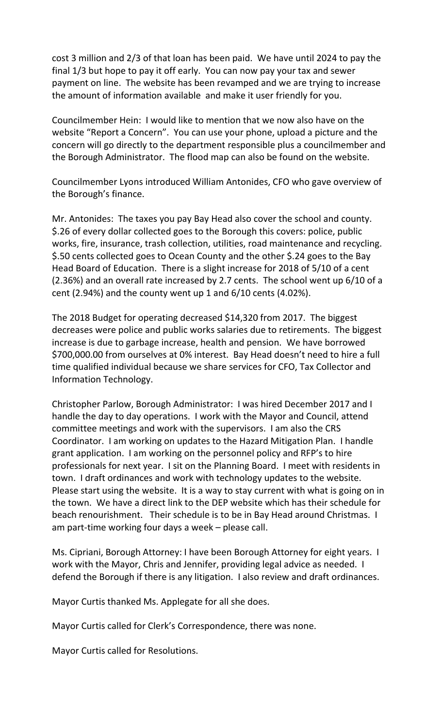cost 3 million and 2/3 of that loan has been paid. We have until 2024 to pay the final 1/3 but hope to pay it off early. You can now pay your tax and sewer payment on line. The website has been revamped and we are trying to increase the amount of information available and make it user friendly for you.

Councilmember Hein: I would like to mention that we now also have on the website "Report a Concern". You can use your phone, upload a picture and the concern will go directly to the department responsible plus a councilmember and the Borough Administrator. The flood map can also be found on the website.

Councilmember Lyons introduced William Antonides, CFO who gave overview of the Borough's finance.

Mr. Antonides: The taxes you pay Bay Head also cover the school and county. \$.26 of every dollar collected goes to the Borough this covers: police, public works, fire, insurance, trash collection, utilities, road maintenance and recycling. \$.50 cents collected goes to Ocean County and the other \$.24 goes to the Bay Head Board of Education. There is a slight increase for 2018 of 5/10 of a cent (2.36%) and an overall rate increased by 2.7 cents. The school went up 6/10 of a cent (2.94%) and the county went up 1 and 6/10 cents (4.02%).

The 2018 Budget for operating decreased \$14,320 from 2017. The biggest decreases were police and public works salaries due to retirements. The biggest increase is due to garbage increase, health and pension. We have borrowed \$700,000.00 from ourselves at 0% interest. Bay Head doesn't need to hire a full time qualified individual because we share services for CFO, Tax Collector and Information Technology.

Christopher Parlow, Borough Administrator: I was hired December 2017 and I handle the day to day operations. I work with the Mayor and Council, attend committee meetings and work with the supervisors. I am also the CRS Coordinator. I am working on updates to the Hazard Mitigation Plan. I handle grant application. I am working on the personnel policy and RFP's to hire professionals for next year. I sit on the Planning Board. I meet with residents in town. I draft ordinances and work with technology updates to the website. Please start using the website. It is a way to stay current with what is going on in the town. We have a direct link to the DEP website which has their schedule for beach renourishment. Their schedule is to be in Bay Head around Christmas. I am part-time working four days a week – please call.

Ms. Cipriani, Borough Attorney: I have been Borough Attorney for eight years. I work with the Mayor, Chris and Jennifer, providing legal advice as needed. I defend the Borough if there is any litigation. I also review and draft ordinances.

Mayor Curtis thanked Ms. Applegate for all she does.

Mayor Curtis called for Clerk's Correspondence, there was none.

Mayor Curtis called for Resolutions.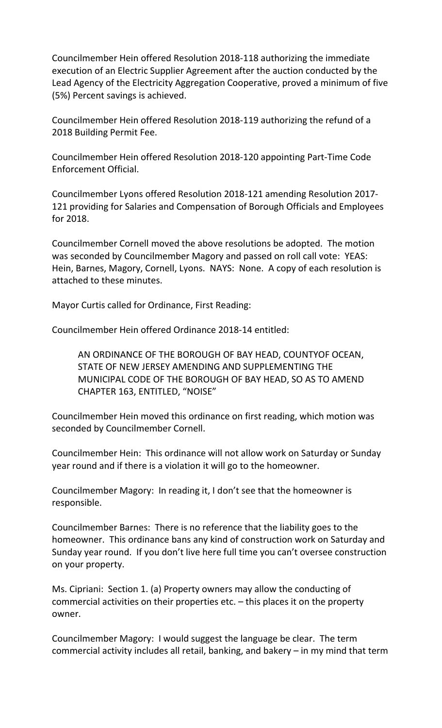Councilmember Hein offered Resolution 2018-118 authorizing the immediate execution of an Electric Supplier Agreement after the auction conducted by the Lead Agency of the Electricity Aggregation Cooperative, proved a minimum of five (5%) Percent savings is achieved.

Councilmember Hein offered Resolution 2018-119 authorizing the refund of a 2018 Building Permit Fee.

Councilmember Hein offered Resolution 2018-120 appointing Part-Time Code Enforcement Official.

Councilmember Lyons offered Resolution 2018-121 amending Resolution 2017- 121 providing for Salaries and Compensation of Borough Officials and Employees for 2018.

Councilmember Cornell moved the above resolutions be adopted. The motion was seconded by Councilmember Magory and passed on roll call vote: YEAS: Hein, Barnes, Magory, Cornell, Lyons. NAYS: None. A copy of each resolution is attached to these minutes.

Mayor Curtis called for Ordinance, First Reading:

Councilmember Hein offered Ordinance 2018-14 entitled:

AN ORDINANCE OF THE BOROUGH OF BAY HEAD, COUNTYOF OCEAN, STATE OF NEW JERSEY AMENDING AND SUPPLEMENTING THE MUNICIPAL CODE OF THE BOROUGH OF BAY HEAD, SO AS TO AMEND CHAPTER 163, ENTITLED, "NOISE"

Councilmember Hein moved this ordinance on first reading, which motion was seconded by Councilmember Cornell.

Councilmember Hein: This ordinance will not allow work on Saturday or Sunday year round and if there is a violation it will go to the homeowner.

Councilmember Magory: In reading it, I don't see that the homeowner is responsible.

Councilmember Barnes: There is no reference that the liability goes to the homeowner. This ordinance bans any kind of construction work on Saturday and Sunday year round. If you don't live here full time you can't oversee construction on your property.

Ms. Cipriani: Section 1. (a) Property owners may allow the conducting of commercial activities on their properties etc. – this places it on the property owner.

Councilmember Magory: I would suggest the language be clear. The term commercial activity includes all retail, banking, and bakery – in my mind that term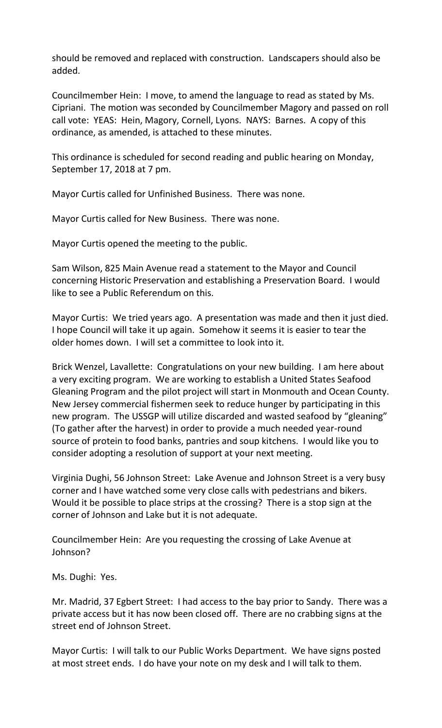should be removed and replaced with construction. Landscapers should also be added.

Councilmember Hein: I move, to amend the language to read as stated by Ms. Cipriani. The motion was seconded by Councilmember Magory and passed on roll call vote: YEAS: Hein, Magory, Cornell, Lyons. NAYS: Barnes. A copy of this ordinance, as amended, is attached to these minutes.

This ordinance is scheduled for second reading and public hearing on Monday, September 17, 2018 at 7 pm.

Mayor Curtis called for Unfinished Business. There was none.

Mayor Curtis called for New Business. There was none.

Mayor Curtis opened the meeting to the public.

Sam Wilson, 825 Main Avenue read a statement to the Mayor and Council concerning Historic Preservation and establishing a Preservation Board. I would like to see a Public Referendum on this.

Mayor Curtis: We tried years ago. A presentation was made and then it just died. I hope Council will take it up again. Somehow it seems it is easier to tear the older homes down. I will set a committee to look into it.

Brick Wenzel, Lavallette: Congratulations on your new building. I am here about a very exciting program. We are working to establish a United States Seafood Gleaning Program and the pilot project will start in Monmouth and Ocean County. New Jersey commercial fishermen seek to reduce hunger by participating in this new program. The USSGP will utilize discarded and wasted seafood by "gleaning" (To gather after the harvest) in order to provide a much needed year-round source of protein to food banks, pantries and soup kitchens. I would like you to consider adopting a resolution of support at your next meeting.

Virginia Dughi, 56 Johnson Street: Lake Avenue and Johnson Street is a very busy corner and I have watched some very close calls with pedestrians and bikers. Would it be possible to place strips at the crossing? There is a stop sign at the corner of Johnson and Lake but it is not adequate.

Councilmember Hein: Are you requesting the crossing of Lake Avenue at Johnson?

Ms. Dughi: Yes.

Mr. Madrid, 37 Egbert Street: I had access to the bay prior to Sandy. There was a private access but it has now been closed off. There are no crabbing signs at the street end of Johnson Street.

Mayor Curtis: I will talk to our Public Works Department. We have signs posted at most street ends. I do have your note on my desk and I will talk to them.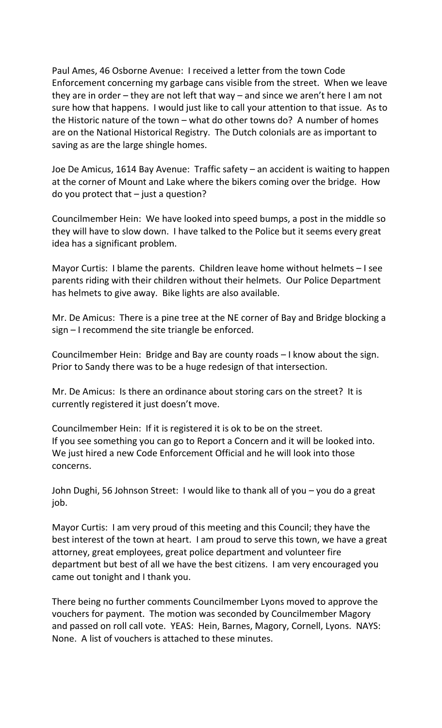Paul Ames, 46 Osborne Avenue: I received a letter from the town Code Enforcement concerning my garbage cans visible from the street. When we leave they are in order – they are not left that way – and since we aren't here I am not sure how that happens. I would just like to call your attention to that issue. As to the Historic nature of the town – what do other towns do? A number of homes are on the National Historical Registry. The Dutch colonials are as important to saving as are the large shingle homes.

Joe De Amicus, 1614 Bay Avenue: Traffic safety – an accident is waiting to happen at the corner of Mount and Lake where the bikers coming over the bridge. How do you protect that – just a question?

Councilmember Hein: We have looked into speed bumps, a post in the middle so they will have to slow down. I have talked to the Police but it seems every great idea has a significant problem.

Mayor Curtis: I blame the parents. Children leave home without helmets – I see parents riding with their children without their helmets. Our Police Department has helmets to give away. Bike lights are also available.

Mr. De Amicus: There is a pine tree at the NE corner of Bay and Bridge blocking a sign – I recommend the site triangle be enforced.

Councilmember Hein: Bridge and Bay are county roads – I know about the sign. Prior to Sandy there was to be a huge redesign of that intersection.

Mr. De Amicus: Is there an ordinance about storing cars on the street? It is currently registered it just doesn't move.

Councilmember Hein: If it is registered it is ok to be on the street. If you see something you can go to Report a Concern and it will be looked into. We just hired a new Code Enforcement Official and he will look into those concerns.

John Dughi, 56 Johnson Street: I would like to thank all of you – you do a great job.

Mayor Curtis: I am very proud of this meeting and this Council; they have the best interest of the town at heart. I am proud to serve this town, we have a great attorney, great employees, great police department and volunteer fire department but best of all we have the best citizens. I am very encouraged you came out tonight and I thank you.

There being no further comments Councilmember Lyons moved to approve the vouchers for payment. The motion was seconded by Councilmember Magory and passed on roll call vote. YEAS: Hein, Barnes, Magory, Cornell, Lyons. NAYS: None. A list of vouchers is attached to these minutes.